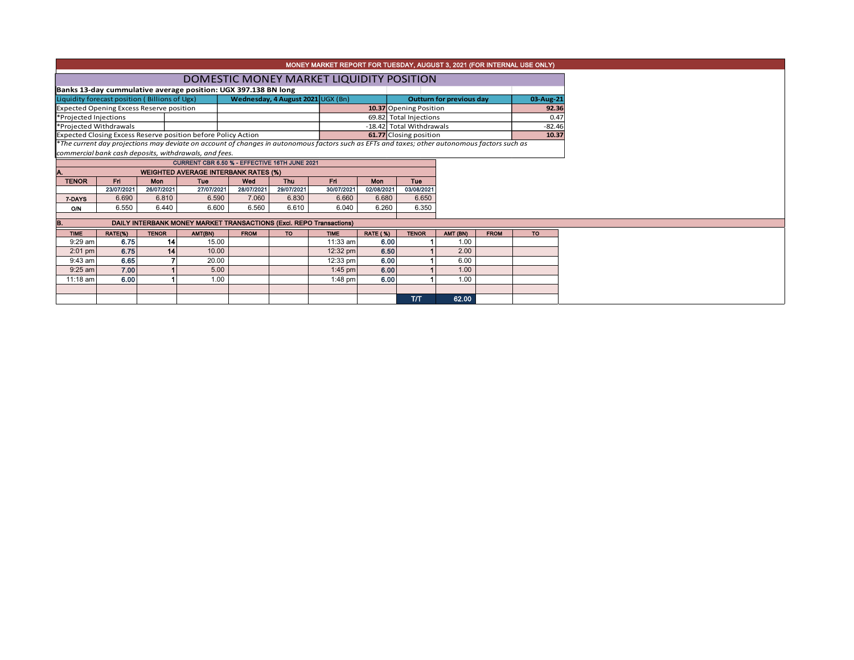|                                                                                    | MONEY MARKET REPORT FOR TUESDAY, AUGUST 3, 2021 (FOR INTERNAL USE ONLY) |                 |                                                               |                                                                     |            |             |                          |                                                                                                                                                                                  |                                 |             |           |  |  |  |
|------------------------------------------------------------------------------------|-------------------------------------------------------------------------|-----------------|---------------------------------------------------------------|---------------------------------------------------------------------|------------|-------------|--------------------------|----------------------------------------------------------------------------------------------------------------------------------------------------------------------------------|---------------------------------|-------------|-----------|--|--|--|
|                                                                                    |                                                                         |                 |                                                               |                                                                     |            |             |                          |                                                                                                                                                                                  |                                 |             |           |  |  |  |
|                                                                                    |                                                                         |                 |                                                               | DOMESTIC MONEY MARKET LIQUIDITY POSITION                            |            |             |                          |                                                                                                                                                                                  |                                 |             |           |  |  |  |
| Banks 13-day cummulative average position: UGX 397.138 BN long                     |                                                                         |                 |                                                               |                                                                     |            |             |                          |                                                                                                                                                                                  |                                 |             |           |  |  |  |
| Wednesday, 4 August 2021 UGX (Bn)<br>Liquidity forecast position (Billions of Ugx) |                                                                         |                 |                                                               |                                                                     |            |             |                          |                                                                                                                                                                                  | <b>Outturn for previous day</b> |             | 03-Aug-21 |  |  |  |
|                                                                                    | <b>Expected Opening Excess Reserve position</b>                         |                 |                                                               |                                                                     |            |             |                          | 10.37 Opening Position                                                                                                                                                           | 92.36                           |             |           |  |  |  |
| *Projected Injections                                                              |                                                                         |                 |                                                               |                                                                     |            |             |                          | 69.82 Total Injections                                                                                                                                                           | 0.47                            |             |           |  |  |  |
| *Projected Withdrawals                                                             |                                                                         |                 |                                                               |                                                                     |            |             | -18.42 Total Withdrawals |                                                                                                                                                                                  |                                 | $-82.46$    |           |  |  |  |
|                                                                                    |                                                                         |                 | Expected Closing Excess Reserve position before Policy Action |                                                                     |            |             |                          | 61.77 Closing position<br>10.37<br>*The current day projections may deviate on account of changes in autonomous factors such as EFTs and taxes; other autonomous factors such as |                                 |             |           |  |  |  |
|                                                                                    |                                                                         |                 |                                                               |                                                                     |            |             |                          |                                                                                                                                                                                  |                                 |             |           |  |  |  |
|                                                                                    |                                                                         |                 | commercial bank cash deposits, withdrawals, and fees.         | CURRENT CBR 6.50 % - EFFECTIVE 16TH JUNE 2021                       |            |             |                          |                                                                                                                                                                                  |                                 |             |           |  |  |  |
|                                                                                    |                                                                         |                 |                                                               |                                                                     |            |             |                          |                                                                                                                                                                                  |                                 |             |           |  |  |  |
| <b>TENOR</b>                                                                       | Fri                                                                     | Mon             | Tue                                                           | <b>WEIGHTED AVERAGE INTERBANK RATES (%)</b><br>Wed                  | <b>Thu</b> | Fri.        | <b>Mon</b>               | <b>Tue</b>                                                                                                                                                                       |                                 |             |           |  |  |  |
|                                                                                    | 23/07/2021                                                              | 26/07/2021      | 27/07/2021                                                    | 28/07/2021                                                          | 29/07/2021 | 30/07/2021  | 02/08/2021               | 03/08/2021                                                                                                                                                                       |                                 |             |           |  |  |  |
| 7-DAYS                                                                             | 6.690                                                                   | 6.810           | 6.590                                                         | 7.060                                                               | 6.830      | 6.660       | 6.680                    | 6.650                                                                                                                                                                            |                                 |             |           |  |  |  |
| O/N                                                                                | 6.550                                                                   | 6.440           | 6.600                                                         | 6.560                                                               | 6.610      | 6.040       | 6.260                    | 6.350                                                                                                                                                                            |                                 |             |           |  |  |  |
|                                                                                    |                                                                         |                 |                                                               |                                                                     |            |             |                          |                                                                                                                                                                                  |                                 |             |           |  |  |  |
| В.                                                                                 |                                                                         |                 |                                                               | DAILY INTERBANK MONEY MARKET TRANSACTIONS (Excl. REPO Transactions) |            |             |                          |                                                                                                                                                                                  |                                 |             |           |  |  |  |
| <b>TIME</b>                                                                        | RATE(%)                                                                 | <b>TENOR</b>    | AMT(BN)                                                       | <b>FROM</b>                                                         | <b>TO</b>  | <b>TIME</b> | <b>RATE (%)</b>          | <b>TENOR</b>                                                                                                                                                                     | AMT (BN)                        | <b>FROM</b> | <b>TO</b> |  |  |  |
| $9:29$ am                                                                          | 6.75                                                                    | 14 <sup>1</sup> | 15.00                                                         |                                                                     |            | 11:33 am    | 6.00                     |                                                                                                                                                                                  | 1.00                            |             |           |  |  |  |
| $2:01$ pm                                                                          | 6.75                                                                    | 14              | 10.00                                                         |                                                                     |            | 12:32 pm    | 6.50                     |                                                                                                                                                                                  | 2.00                            |             |           |  |  |  |
| $9:43$ am                                                                          | 6.65                                                                    |                 | 20.00                                                         |                                                                     |            | 12:33 pm    | 6.00                     |                                                                                                                                                                                  | 6.00                            |             |           |  |  |  |
| $9:25$ am                                                                          | 7.00                                                                    |                 | 5.00                                                          |                                                                     |            | $1:45$ pm   | 6.00                     |                                                                                                                                                                                  | 1.00                            |             |           |  |  |  |
| 11:18 am                                                                           | 6.00                                                                    |                 | 1.00                                                          |                                                                     |            | $1:48$ pm   | 6.00                     |                                                                                                                                                                                  | 1.00                            |             |           |  |  |  |
|                                                                                    |                                                                         |                 |                                                               |                                                                     |            |             |                          |                                                                                                                                                                                  |                                 |             |           |  |  |  |
|                                                                                    |                                                                         |                 |                                                               |                                                                     |            |             |                          | <b>ТЛТ</b>                                                                                                                                                                       | 62.00                           |             |           |  |  |  |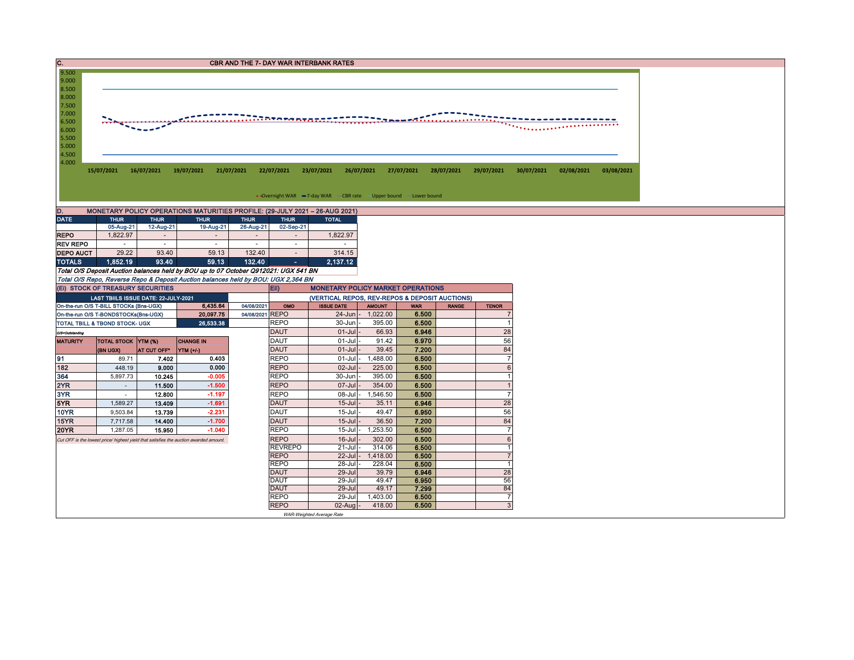| C.<br><b>CBR AND THE 7- DAY WAR INTERBANK RATES</b>                         |                                                                                                                                                                                    |                         |                                                                                       |                                                                                           |                                                |                                      |              |                                  |  |  |  |  |  |  |  |
|-----------------------------------------------------------------------------|------------------------------------------------------------------------------------------------------------------------------------------------------------------------------------|-------------------------|---------------------------------------------------------------------------------------|-------------------------------------------------------------------------------------------|------------------------------------------------|--------------------------------------|--------------|----------------------------------|--|--|--|--|--|--|--|
| 9.500<br>9.000                                                              |                                                                                                                                                                                    |                         |                                                                                       |                                                                                           |                                                |                                      |              |                                  |  |  |  |  |  |  |  |
| 8.500                                                                       |                                                                                                                                                                                    |                         |                                                                                       |                                                                                           |                                                |                                      |              |                                  |  |  |  |  |  |  |  |
| 8.000                                                                       |                                                                                                                                                                                    |                         |                                                                                       |                                                                                           |                                                |                                      |              |                                  |  |  |  |  |  |  |  |
| 7.500<br>7.000                                                              |                                                                                                                                                                                    |                         |                                                                                       |                                                                                           |                                                |                                      |              |                                  |  |  |  |  |  |  |  |
| 6.500                                                                       |                                                                                                                                                                                    |                         |                                                                                       | $\ldots$ . The experts $\tau$                                                             |                                                | <b>Theodorf</b>                      | . <u>. .</u> |                                  |  |  |  |  |  |  |  |
| 6.000                                                                       |                                                                                                                                                                                    |                         |                                                                                       |                                                                                           |                                                |                                      |              |                                  |  |  |  |  |  |  |  |
| 5.500<br>5.000                                                              |                                                                                                                                                                                    |                         |                                                                                       |                                                                                           |                                                |                                      |              |                                  |  |  |  |  |  |  |  |
| 4.500                                                                       |                                                                                                                                                                                    |                         |                                                                                       |                                                                                           |                                                |                                      |              |                                  |  |  |  |  |  |  |  |
| 4.000                                                                       |                                                                                                                                                                                    |                         |                                                                                       |                                                                                           |                                                |                                      |              |                                  |  |  |  |  |  |  |  |
|                                                                             | 16/07/2021<br>15/07/2021<br>19/07/2021<br>21/07/2021<br>22/07/2021<br>23/07/2021<br>26/07/2021<br>27/07/2021<br>28/07/2021<br>29/07/2021<br>30/07/2021<br>02/08/2021<br>03/08/2021 |                         |                                                                                       |                                                                                           |                                                |                                      |              |                                  |  |  |  |  |  |  |  |
|                                                                             |                                                                                                                                                                                    |                         |                                                                                       |                                                                                           |                                                |                                      |              |                                  |  |  |  |  |  |  |  |
|                                                                             | • Overnight WAR -7-day WAR - CBR rate - Upper bound -Lower bound                                                                                                                   |                         |                                                                                       |                                                                                           |                                                |                                      |              |                                  |  |  |  |  |  |  |  |
| MONETARY POLICY OPERATIONS MATURITIES PROFILE: (29-JULY 2021 - 26-AUG 2021) |                                                                                                                                                                                    |                         |                                                                                       |                                                                                           |                                                |                                      |              |                                  |  |  |  |  |  |  |  |
| D.<br><b>DATE</b>                                                           | <b>THUR</b>                                                                                                                                                                        | <b>THUR</b>             | <b>THUR</b>                                                                           | <b>THUR</b><br><b>THUR</b>                                                                | <b>TOTAL</b>                                   |                                      |              |                                  |  |  |  |  |  |  |  |
|                                                                             | 05-Aug-21                                                                                                                                                                          | 12-Aug-21               | 19-Aug-21                                                                             | 26-Aug-21<br>02-Sep-21                                                                    |                                                |                                      |              |                                  |  |  |  |  |  |  |  |
| <b>REPO</b>                                                                 | 1,822.97                                                                                                                                                                           | $\sim$                  | $\sim$                                                                                | $\sim$<br>$\sim$                                                                          | 1,822.97                                       |                                      |              |                                  |  |  |  |  |  |  |  |
| <b>REV REPO</b>                                                             | $\sim$                                                                                                                                                                             | $\sim$                  | $\sim$                                                                                | $\sim$<br>$\sim$                                                                          | $\sim$                                         |                                      |              |                                  |  |  |  |  |  |  |  |
| <b>DEPO AUCT</b>                                                            | 29.22<br>1,852.19                                                                                                                                                                  | 93.40<br>93.40          | 59.13<br>59.13                                                                        | 132.40<br>$\sim$<br>132.40                                                                | 314.15<br>2,137.12                             |                                      |              |                                  |  |  |  |  |  |  |  |
| <b>TOTALS</b>                                                               |                                                                                                                                                                                    |                         |                                                                                       | A.<br>Total O/S Deposit Auction balances held by BOU up to 07 October Q912021: UGX 541 BN |                                                |                                      |              |                                  |  |  |  |  |  |  |  |
|                                                                             |                                                                                                                                                                                    |                         |                                                                                       | Total O/S Repo, Reverse Repo & Deposit Auction balances held by BOU: UGX 2,364 BN         |                                                |                                      |              |                                  |  |  |  |  |  |  |  |
|                                                                             | (EI) STOCK OF TREASURY SECURITIES                                                                                                                                                  |                         |                                                                                       | Eii)                                                                                      | <b>MONETARY POLICY MARKET OPERATIONS</b>       |                                      |              |                                  |  |  |  |  |  |  |  |
|                                                                             | LAST TBIILS ISSUE DATE: 22-JULY-2021                                                                                                                                               |                         |                                                                                       |                                                                                           | (VERTICAL REPOS, REV-REPOS & DEPOSIT AUCTIONS) |                                      |              |                                  |  |  |  |  |  |  |  |
|                                                                             | On-the-run O/S T-BILL STOCKs (Bns-UGX)                                                                                                                                             |                         | 6,435.64                                                                              | 04/08/2021<br>OMO                                                                         | <b>ISSUE DATE</b>                              | <b>AMOUNT</b><br><b>WAR</b>          | <b>RANGE</b> | <b>TENOR</b>                     |  |  |  |  |  |  |  |
|                                                                             | On-the-run O/S T-BONDSTOCKs(Bns-UGX)                                                                                                                                               |                         | 20,097.75                                                                             | 04/08/2021 REPO                                                                           | 24-Jun - 1,022.00                              | 6.500                                |              | $\overline{7}$                   |  |  |  |  |  |  |  |
|                                                                             | TOTAL TBILL & TBOND STOCK- UGX                                                                                                                                                     |                         | 26,533.38                                                                             | <b>REPO</b><br><b>DAUT</b>                                                                | $30 - Jun$<br>$01 -$ Jul                       | 6.500<br>395.00<br>6.946<br>66.93    |              | $\mathbf{1}$<br>28               |  |  |  |  |  |  |  |
| O/S=Outstanding<br><b>MATURITY</b>                                          | <b>TOTAL STOCK YTM (%)</b>                                                                                                                                                         |                         | <b>CHANGE IN</b>                                                                      | <b>DAUT</b>                                                                               | $01 -$ Jul                                     | 6.970<br>91.42                       |              | 56                               |  |  |  |  |  |  |  |
|                                                                             | (BN UGX)                                                                                                                                                                           | AT CUT OFF <sup>®</sup> | YTM (+/-)                                                                             | <b>DAUT</b>                                                                               | $01 -$ Jul                                     | 39.45<br>7.200                       |              | 84                               |  |  |  |  |  |  |  |
| 91                                                                          | 89.71                                                                                                                                                                              | 7.402                   | 0.403                                                                                 | <b>REPO</b>                                                                               | $01$ -Jul                                      | 1,488.00<br>6.500                    |              | $\overline{7}$                   |  |  |  |  |  |  |  |
| 182                                                                         | 448.19                                                                                                                                                                             | 9.000                   | 0.000                                                                                 | <b>REPO</b>                                                                               | $02 -$ Jul                                     | 225.00<br>6.500                      |              | $6\phantom{1}$                   |  |  |  |  |  |  |  |
| 364                                                                         | 5,897.73                                                                                                                                                                           | 10.245                  | $-0.005$                                                                              | <b>REPO</b>                                                                               | 30-Jun                                         | 395.00<br>6.500                      |              | $\mathbf{1}$                     |  |  |  |  |  |  |  |
| 2YR                                                                         | $\sim$                                                                                                                                                                             | 11.500                  | $-1.500$<br>$-1.197$                                                                  | <b>REPO</b>                                                                               | 07-Jul                                         | 354.00<br>6.500                      |              | $\overline{1}$                   |  |  |  |  |  |  |  |
| 3YR<br>5YR                                                                  | $\sim$<br>1,589.27                                                                                                                                                                 | 12.800<br>13.409        | $-1.691$                                                                              | <b>REPO</b><br><b>DAUT</b>                                                                | 08-Jul<br>$15 -$ Jul                           | 1,546.50<br>6.500<br>6.946<br>35.11  |              | $\overline{7}$<br>28             |  |  |  |  |  |  |  |
| <b>10YR</b>                                                                 | 9,503.84                                                                                                                                                                           | 13.739                  | $-2.231$                                                                              | <b>DAUT</b>                                                                               | $15 -$ Jul                                     | 6.950<br>49.47                       |              | 56                               |  |  |  |  |  |  |  |
| 15YR                                                                        | 7,717.58                                                                                                                                                                           | 14.400                  | $-1.700$                                                                              | <b>DAUT</b>                                                                               | $15 -$ Jul                                     | 36.50<br>7.200                       |              | 84                               |  |  |  |  |  |  |  |
| <b>20YR</b>                                                                 | 1,287.05                                                                                                                                                                           | 15.950                  | $-1.040$                                                                              | <b>REPO</b>                                                                               | $15 -$ Jul                                     | 1,253.50<br>6.500                    |              | $\overline{7}$                   |  |  |  |  |  |  |  |
|                                                                             |                                                                                                                                                                                    |                         | Cut OFF is the lowest price/ highest yield that satisfies the auction awarded amount. | <b>REPO</b>                                                                               | $16 -$ Jul                                     | 302.00<br>6.500                      |              | $\boldsymbol{6}$                 |  |  |  |  |  |  |  |
|                                                                             |                                                                                                                                                                                    |                         |                                                                                       | <b>REVREPO</b>                                                                            | 21-Jul                                         | 314.06<br>6.500                      |              | $\mathbf{1}$                     |  |  |  |  |  |  |  |
|                                                                             |                                                                                                                                                                                    |                         |                                                                                       | <b>REPO</b><br><b>REPO</b>                                                                | 22-Jul<br>28-Jul                               | 1,418.00<br>6.500<br>6.500<br>228.04 |              | $\overline{7}$<br>$\overline{1}$ |  |  |  |  |  |  |  |
|                                                                             |                                                                                                                                                                                    |                         |                                                                                       | <b>DAUT</b>                                                                               | 29-Jul                                         | 6.946<br>39.79                       |              | 28                               |  |  |  |  |  |  |  |
|                                                                             |                                                                                                                                                                                    |                         |                                                                                       | <b>DAUT</b>                                                                               | 29-Jul                                         | 6.950<br>49.47                       |              | 56                               |  |  |  |  |  |  |  |
|                                                                             |                                                                                                                                                                                    |                         |                                                                                       | <b>DAUT</b>                                                                               | $29 -$ Jul                                     | 7.299<br>49.17                       |              | 84                               |  |  |  |  |  |  |  |
|                                                                             |                                                                                                                                                                                    |                         |                                                                                       | <b>REPO</b><br><b>REPO</b>                                                                | 29-Jul<br>$02$ -Aug -                          | 1,403.00<br>6.500<br>418.00<br>6.500 |              | $\overline{7}$<br>$\mathbf{3}$   |  |  |  |  |  |  |  |
|                                                                             |                                                                                                                                                                                    |                         |                                                                                       |                                                                                           | WAR-Weighted Average Rate                      |                                      |              |                                  |  |  |  |  |  |  |  |